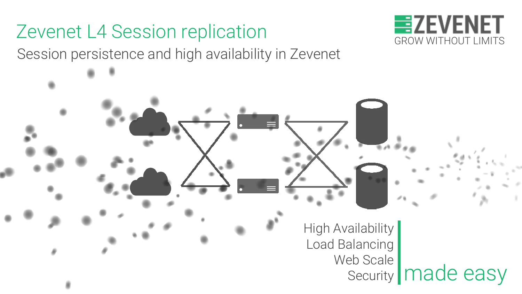# Zevenet L4 Session replication

Session persistence and high availability in Zevenet



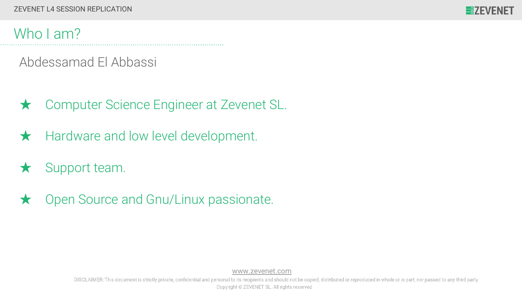

### Who I am?

Abdessamad El Abbassi

- ★ Computer Science Engineer at Zevenet SL.
- ★ Hardware and low level development.
- $\star$  Support team.
- ★ Open Source and Gnu/Linux passionate.

[www.zevenet.com](https://www.zevenet.com)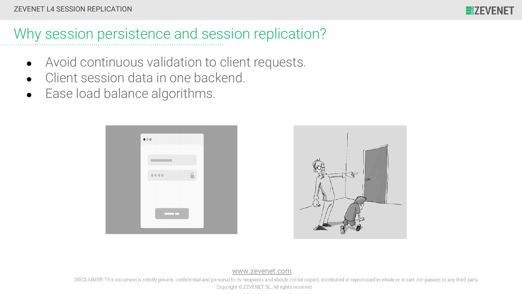

## Why session persistence and session replication?

- Avoid continuous validation to client requests.
- Client session data in one backend.
- Ease load balance algorithms.





[www.zevenet.com](https://www.zevenet.com)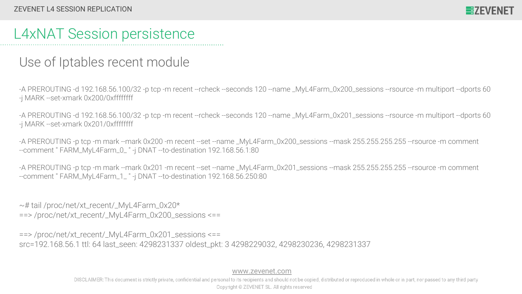## L4xNAT Session persistence

#### Use of Iptables recent module

-A PREROUTING -d 192.168.56.100/32 -p tcp -m recent --rcheck --seconds 120 --name \_MyL4Farm\_0x200\_sessions --rsource -m multiport --dports 60 -j MARK --set-xmark 0x200/0xffffffff

-A PREROUTING -d 192.168.56.100/32 -p tcp -m recent --rcheck --seconds 120 --name \_MyL4Farm\_0x201\_sessions --rsource -m multiport --dports 60 -j MARK --set-xmark 0x201/0xffffffff

-A PREROUTING -p tcp -m mark --mark 0x200 -m recent --set --name \_MyL4Farm\_0x200\_sessions --mask 255.255.255.255 --rsource -m comment --comment " FARM\_MyL4Farm\_0\_ " -j DNAT --to-destination 192.168.56.1:80

-A PREROUTING -p tcp -m mark --mark 0x201 -m recent --set --name \_MyL4Farm\_0x201\_sessions --mask 255.255.255.255 --rsource -m comment --comment " FARM\_MyL4Farm\_1\_ " -j DNAT --to-destination 192.168.56.250:80

~# tail /proc/net/xt\_recent/\_MyL4Farm\_0x20\*  $\epsilon$ ==>/proc/net/xt\_recent/\_MyL4Farm\_0x200\_sessions  $\epsilon$ ==

==> /proc/net/xt\_recent/\_MyL4Farm\_0x201\_sessions <== src=192.168.56.1 ttl: 64 last\_seen: 4298231337 oldest\_pkt: 3 4298229032, 4298230236, 4298231337

[www.zevenet.com](https://www.zevenet.com)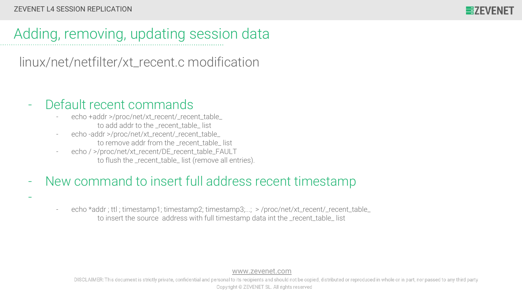-



## Adding, removing, updating session data

[linux](https://github.com/spotify/linux)[/net](https://github.com/spotify/linux/tree/master/net)[/netfilter](https://github.com/spotify/linux/tree/master/net/netfilter)/xt\_recent.c modification

#### Default recent commands

- echo +addr >/proc/net/xt\_recent/\_recent\_table\_ to add addr to the recent table list
- echo -addr >/proc/net/xt\_recent/\_recent\_table\_ to remove addr from the recent table list
- echo / >/proc/net/xt\_recent/DE\_recent\_table\_FAULT to flush the \_recent\_table\_ list (remove all entries).

#### New command to insert full address recent timestamp

echo \*addr ; ttl ; timestamp1; timestamp2; timestamp3;...; > /proc/net/xt\_recent/\_recent\_table\_ to insert the source address with full timestamp data int the recent table list

[www.zevenet.com](https://www.zevenet.com)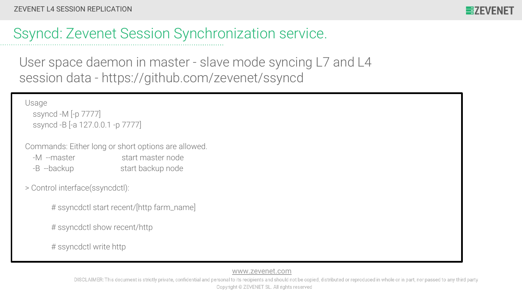

## Ssyncd: Zevenet Session Synchronization service.

User space daemon in master - slave mode syncing L7 and L4 session data - https://github.com/zevenet/ssyncd

Usage

 ssyncd -M [-p 7777] ssyncd -B [-a 127.0.0.1 -p 7777]

Commands: Either long or short options are allowed.

- -M --master start master node -B --backup start backup node
- > Control interface(ssyncdctl):
	- # ssyncdctl start recent/[http farm\_name]
	- # ssyncdctl show recent/http

# ssyncdctl write http

[www.zevenet.com](https://www.zevenet.com)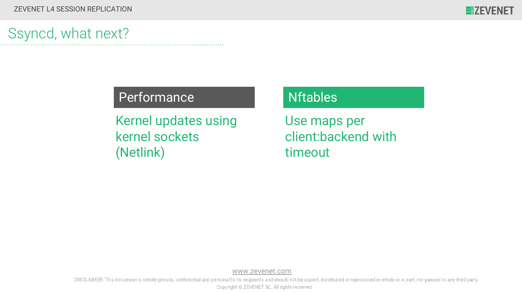## Ssyncd, what next?

#### Performance Nftables

Kernel updates using kernel sockets (Netlink)

Use maps per client:backend with timeout